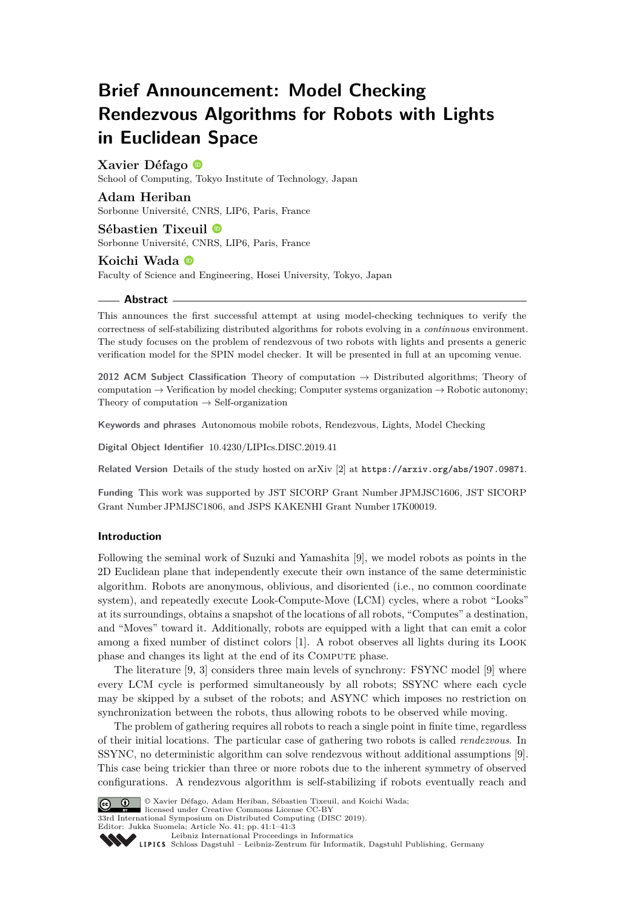# **Brief Announcement: Model Checking Rendezvous Algorithms for Robots with Lights in Euclidean Space**

# **Xavier Défago**

School of Computing, Tokyo Institute of Technology, Japan

### **Adam Heriban**

Sorbonne Université, CNRS, LIP6, Paris, France

## **Sébastien Tixeuil** Sorbonne Université, CNRS, LIP6, Paris, France

#### **Koichi Wada**

Faculty of Science and Engineering, Hosei University, Tokyo, Japan

#### **Abstract**

This announces the first successful attempt at using model-checking techniques to verify the correctness of self-stabilizing distributed algorithms for robots evolving in a *continuous* environment. The study focuses on the problem of rendezvous of two robots with lights and presents a generic verification model for the SPIN model checker. It will be presented in full at an upcoming venue.

**2012 ACM Subject Classification** Theory of computation → Distributed algorithms; Theory of computation  $\rightarrow$  Verification by model checking; Computer systems organization  $\rightarrow$  Robotic autonomy; Theory of computation  $\rightarrow$  Self-organization

**Keywords and phrases** Autonomous mobile robots, Rendezvous, Lights, Model Checking

**Digital Object Identifier** [10.4230/LIPIcs.DISC.2019.41](https://doi.org/10.4230/LIPIcs.DISC.2019.41)

**Related Version** Details of the study hosted on arXiv [\[2\]](#page-2-0) at <https://arxiv.org/abs/1907.09871>.

**Funding** This work was supported by JST SICORP Grant Number JPMJSC1606, JST SICORP Grant Number JPMJSC1806, and JSPS KAKENHI Grant Number 17K00019.

#### **Introduction**

Following the seminal work of Suzuki and Yamashita [\[9\]](#page-2-1), we model robots as points in the 2D Euclidean plane that independently execute their own instance of the same deterministic algorithm. Robots are anonymous, oblivious, and disoriented (i.e., no common coordinate system), and repeatedly execute Look-Compute-Move (LCM) cycles, where a robot "Looks" at its surroundings, obtains a snapshot of the locations of all robots, "Computes" a destination, and "Moves" toward it. Additionally, robots are equipped with a light that can emit a color among a fixed number of distinct colors [\[1\]](#page-2-2). A robot observes all lights during its Look phase and changes its light at the end of its COMPUTE phase.

The literature [\[9,](#page-2-1) [3\]](#page-2-3) considers three main levels of synchrony: FSYNC model [\[9\]](#page-2-1) where every LCM cycle is performed simultaneously by all robots; SSYNC where each cycle may be skipped by a subset of the robots; and ASYNC which imposes no restriction on synchronization between the robots, thus allowing robots to be observed while moving.

The problem of gathering requires all robots to reach a single point in finite time, regardless of their initial locations. The particular case of gathering two robots is called *rendezvous*. In SSYNC, no deterministic algorithm can solve rendezvous without additional assumptions [\[9\]](#page-2-1). This case being trickier than three or more robots due to the inherent symmetry of observed configurations. A rendezvous algorithm is self-stabilizing if robots eventually reach and



© Xavier Défago, Adam Heriban, Sébastien Tixeuil, and Koichi Wada; licensed under Creative Commons License CC-BY 33rd International Symposium on Distributed Computing (DISC 2019). Editor: Jukka Suomela; Article No. 41; pp. 41:1–41[:3](#page-2-4) [Leibniz International Proceedings in Informatics](https://www.dagstuhl.de/lipics/)

Leibniz International Froceedings in Informatik, Dagstuhl Publishing, Germany<br>LIPICS [Schloss Dagstuhl – Leibniz-Zentrum für Informatik, Dagstuhl Publishing, Germany](https://www.dagstuhl.de)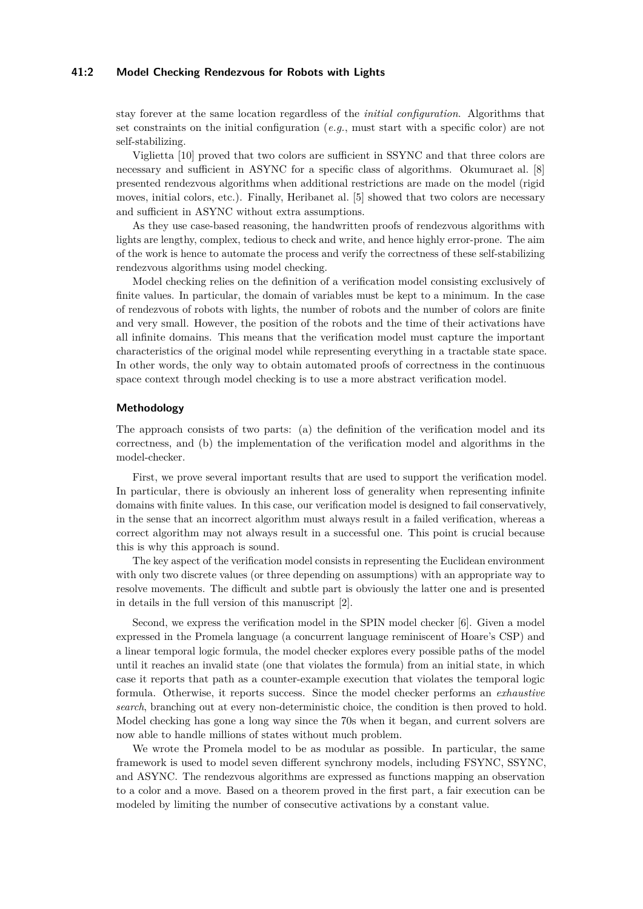#### **41:2 Model Checking Rendezvous for Robots with Lights**

stay forever at the same location regardless of the *initial configuration*. Algorithms that set constraints on the initial configuration (*e.g.*, must start with a specific color) are not self-stabilizing.

Viglietta [\[10\]](#page-2-5) proved that two colors are sufficient in SSYNC and that three colors are necessary and sufficient in ASYNC for a specific class of algorithms. Okumuraet al. [\[8\]](#page-2-6) presented rendezvous algorithms when additional restrictions are made on the model (rigid moves, initial colors, etc.). Finally, Heribanet al. [\[5\]](#page-2-7) showed that two colors are necessary and sufficient in ASYNC without extra assumptions.

As they use case-based reasoning, the handwritten proofs of rendezvous algorithms with lights are lengthy, complex, tedious to check and write, and hence highly error-prone. The aim of the work is hence to automate the process and verify the correctness of these self-stabilizing rendezvous algorithms using model checking.

Model checking relies on the definition of a verification model consisting exclusively of finite values. In particular, the domain of variables must be kept to a minimum. In the case of rendezvous of robots with lights, the number of robots and the number of colors are finite and very small. However, the position of the robots and the time of their activations have all infinite domains. This means that the verification model must capture the important characteristics of the original model while representing everything in a tractable state space. In other words, the only way to obtain automated proofs of correctness in the continuous space context through model checking is to use a more abstract verification model.

#### **Methodology**

The approach consists of two parts: (a) the definition of the verification model and its correctness, and (b) the implementation of the verification model and algorithms in the model-checker.

First, we prove several important results that are used to support the verification model. In particular, there is obviously an inherent loss of generality when representing infinite domains with finite values. In this case, our verification model is designed to fail conservatively, in the sense that an incorrect algorithm must always result in a failed verification, whereas a correct algorithm may not always result in a successful one. This point is crucial because this is why this approach is sound.

The key aspect of the verification model consists in representing the Euclidean environment with only two discrete values (or three depending on assumptions) with an appropriate way to resolve movements. The difficult and subtle part is obviously the latter one and is presented in details in the full version of this manuscript [\[2\]](#page-2-0).

Second, we express the verification model in the SPIN model checker [\[6\]](#page-2-8). Given a model expressed in the Promela language (a concurrent language reminiscent of Hoare's CSP) and a linear temporal logic formula, the model checker explores every possible paths of the model until it reaches an invalid state (one that violates the formula) from an initial state, in which case it reports that path as a counter-example execution that violates the temporal logic formula. Otherwise, it reports success. Since the model checker performs an *exhaustive search*, branching out at every non-deterministic choice, the condition is then proved to hold. Model checking has gone a long way since the 70s when it began, and current solvers are now able to handle millions of states without much problem.

We wrote the Promela model to be as modular as possible. In particular, the same framework is used to model seven different synchrony models, including FSYNC, SSYNC, and ASYNC. The rendezvous algorithms are expressed as functions mapping an observation to a color and a move. Based on a theorem proved in the first part, a fair execution can be modeled by limiting the number of consecutive activations by a constant value.